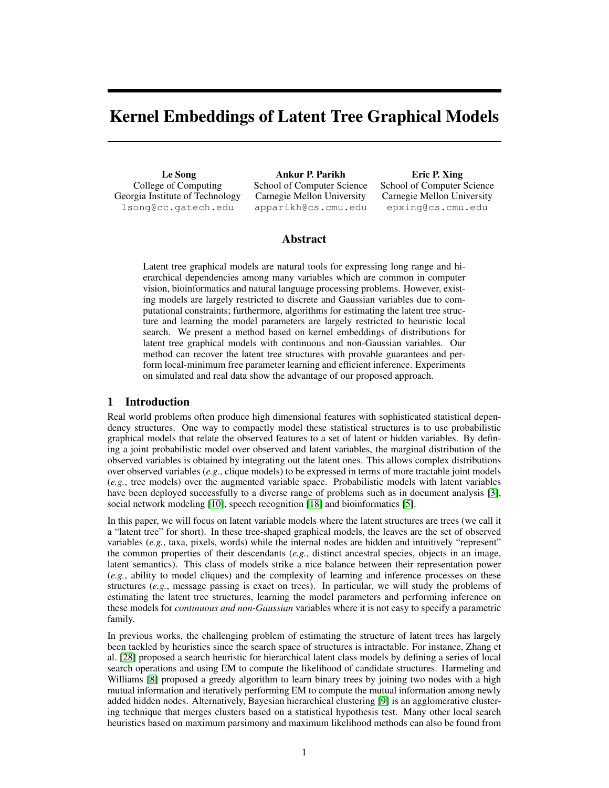# Kernel Embeddings of Latent Tree Graphical Models

Le Song College of Computing Georgia Institute of Technology lsong@cc.gatech.edu

Ankur P. Parikh School of Computer Science Carnegie Mellon University apparikh@cs.cmu.edu

Eric P. Xing School of Computer Science Carnegie Mellon University epxing@cs.cmu.edu

# Abstract

Latent tree graphical models are natural tools for expressing long range and hierarchical dependencies among many variables which are common in computer vision, bioinformatics and natural language processing problems. However, existing models are largely restricted to discrete and Gaussian variables due to computational constraints; furthermore, algorithms for estimating the latent tree structure and learning the model parameters are largely restricted to heuristic local search. We present a method based on kernel embeddings of distributions for latent tree graphical models with continuous and non-Gaussian variables. Our method can recover the latent tree structures with provable guarantees and perform local-minimum free parameter learning and efficient inference. Experiments on simulated and real data show the advantage of our proposed approach.

# 1 Introduction

Real world problems often produce high dimensional features with sophisticated statistical dependency structures. One way to compactly model these statistical structures is to use probabilistic graphical models that relate the observed features to a set of latent or hidden variables. By defining a joint probabilistic model over observed and latent variables, the marginal distribution of the observed variables is obtained by integrating out the latent ones. This allows complex distributions over observed variables (*e.g.*, clique models) to be expressed in terms of more tractable joint models (*e.g.*, tree models) over the augmented variable space. Probabilistic models with latent variables have been deployed successfully to a diverse range of problems such as in document analysis [\[3\]](#page-8-0), social network modeling [\[10\]](#page-8-1), speech recognition [\[18\]](#page-8-2) and bioinformatics [\[5\]](#page-8-3).

In this paper, we will focus on latent variable models where the latent structures are trees (we call it a "latent tree" for short). In these tree-shaped graphical models, the leaves are the set of observed variables (*e.g.*, taxa, pixels, words) while the internal nodes are hidden and intuitively "represent" the common properties of their descendants (*e.g.*, distinct ancestral species, objects in an image, latent semantics). This class of models strike a nice balance between their representation power (*e.g.*, ability to model cliques) and the complexity of learning and inference processes on these structures (*e.g.*, message passing is exact on trees). In particular, we will study the problems of estimating the latent tree structures, learning the model parameters and performing inference on these models for *continuous and non-Gaussian* variables where it is not easy to specify a parametric family.

In previous works, the challenging problem of estimating the structure of latent trees has largely been tackled by heuristics since the search space of structures is intractable. For instance, Zhang et al. [\[28\]](#page-8-4) proposed a search heuristic for hierarchical latent class models by defining a series of local search operations and using EM to compute the likelihood of candidate structures. Harmeling and Williams [\[8\]](#page-8-5) proposed a greedy algorithm to learn binary trees by joining two nodes with a high mutual information and iteratively performing EM to compute the mutual information among newly added hidden nodes. Alternatively, Bayesian hierarchical clustering [\[9\]](#page-8-6) is an agglomerative clustering technique that merges clusters based on a statistical hypothesis test. Many other local search heuristics based on maximum parsimony and maximum likelihood methods can also be found from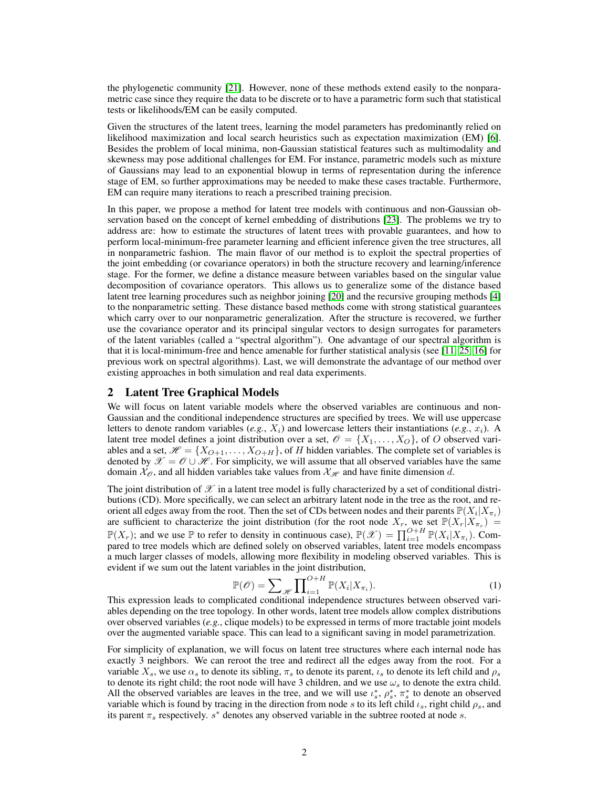the phylogenetic community [\[21\]](#page-8-7). However, none of these methods extend easily to the nonparametric case since they require the data to be discrete or to have a parametric form such that statistical tests or likelihoods/EM can be easily computed.

Given the structures of the latent trees, learning the model parameters has predominantly relied on likelihood maximization and local search heuristics such as expectation maximization (EM) [\[6\]](#page-8-8). Besides the problem of local minima, non-Gaussian statistical features such as multimodality and skewness may pose additional challenges for EM. For instance, parametric models such as mixture of Gaussians may lead to an exponential blowup in terms of representation during the inference stage of EM, so further approximations may be needed to make these cases tractable. Furthermore, EM can require many iterations to reach a prescribed training precision.

In this paper, we propose a method for latent tree models with continuous and non-Gaussian observation based on the concept of kernel embedding of distributions [\[23\]](#page-8-9). The problems we try to address are: how to estimate the structures of latent trees with provable guarantees, and how to perform local-minimum-free parameter learning and efficient inference given the tree structures, all in nonparametric fashion. The main flavor of our method is to exploit the spectral properties of the joint embedding (or covariance operators) in both the structure recovery and learning/inference stage. For the former, we define a distance measure between variables based on the singular value decomposition of covariance operators. This allows us to generalize some of the distance based latent tree learning procedures such as neighbor joining [\[20\]](#page-8-10) and the recursive grouping methods [\[4\]](#page-8-11) to the nonparametric setting. These distance based methods come with strong statistical guarantees which carry over to our nonparametric generalization. After the structure is recovered, we further use the covariance operator and its principal singular vectors to design surrogates for parameters of the latent variables (called a "spectral algorithm"). One advantage of our spectral algorithm is that it is local-minimum-free and hence amenable for further statistical analysis (see [\[11,](#page-8-12) [25,](#page-8-13) [16\]](#page-8-14) for previous work on spectral algorithms). Last, we will demonstrate the advantage of our method over existing approaches in both simulation and real data experiments.

## 2 Latent Tree Graphical Models

We will focus on latent variable models where the observed variables are continuous and non-Gaussian and the conditional independence structures are specified by trees. We will use uppercase letters to denote random variables  $(e.g., X_i)$  and lowercase letters their instantiations  $(e.g., x_i)$ . A latent tree model defines a joint distribution over a set,  $\mathcal{O} = \{X_1, \ldots, X_O\}$ , of O observed variables and a set,  $\mathcal{H} = \{X_{O+1}, \ldots, X_{O+H}\}\$ , of H hidden variables. The complete set of variables is denoted by  $\mathscr{X} = \mathscr{O} \cup \mathscr{H}$ . For simplicity, we will assume that all observed variables have the same domain  $\mathcal{X}_{\mathcal{O}}$ , and all hidden variables take values from  $\mathcal{X}_{\mathcal{H}}$  and have finite dimension d.

The joint distribution of  $\mathscr X$  in a latent tree model is fully characterized by a set of conditional distributions (CD). More specifically, we can select an arbitrary latent node in the tree as the root, and reorient all edges away from the root. Then the set of CDs between nodes and their parents  $\mathbb{P}(X_i|X_{\pi_i})$ are sufficient to characterize the joint distribution (for the root node  $X_r$ , we set  $\mathbb{P}(X_r|X_{\pi_r}^{\dagger}) =$  $\mathbb{P}(X_r)$ ; and we use  $\mathbb P$  to refer to density in continuous case),  $\mathbb{P}(\mathscr{X}) = \prod_{i=1}^{O+H} \mathbb{P}(X_i | X_{\pi_i})$ . Compared to tree models which are defined solely on observed variables, latent tree models encompass a much larger classes of models, allowing more flexibility in modeling observed variables. This is evident if we sum out the latent variables in the joint distribution,

$$
\mathbb{P}(\mathcal{O}) = \sum_{\mathcal{H}} \prod_{i=1}^{O+H} \mathbb{P}(X_i | X_{\pi_i}).
$$
\n(1)

This expression leads to complicated conditional independence structures between observed variables depending on the tree topology. In other words, latent tree models allow complex distributions over observed variables (*e.g.*, clique models) to be expressed in terms of more tractable joint models over the augmented variable space. This can lead to a significant saving in model parametrization.

For simplicity of explanation, we will focus on latent tree structures where each internal node has exactly 3 neighbors. We can reroot the tree and redirect all the edges away from the root. For a variable  $X_s$ , we use  $\alpha_s$  to denote its sibling,  $\pi_s$  to denote its parent,  $\iota_s$  to denote its left child and  $\rho_s$ to denote its right child; the root node will have 3 children, and we use  $\omega_s$  to denote the extra child. All the observed variables are leaves in the tree, and we will use  $\iota_s^*, \rho_s^*, \pi_s^*$  to denote an observed variable which is found by tracing in the direction from node s to its left child  $\iota_s$ , right child  $\rho_s$ , and its parent  $\pi_s$  respectively.  $s^*$  denotes any observed variable in the subtree rooted at node s.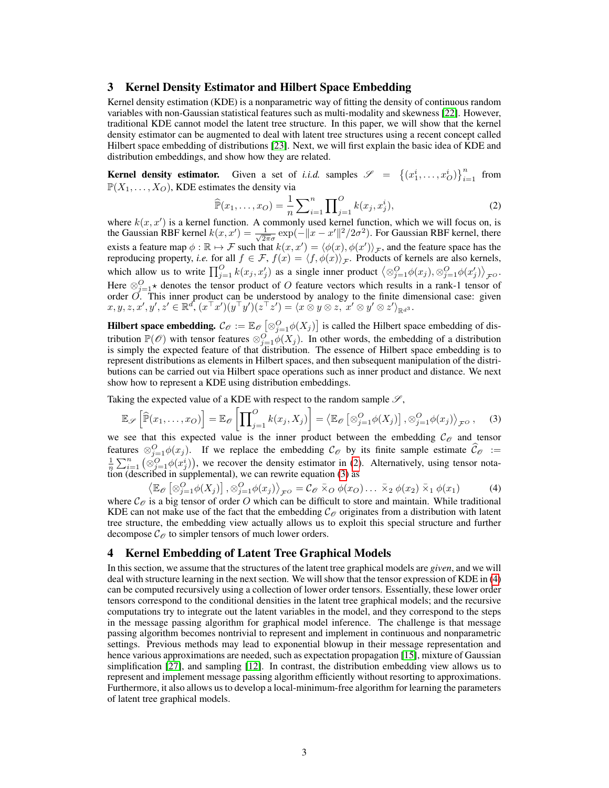# 3 Kernel Density Estimator and Hilbert Space Embedding

Kernel density estimation (KDE) is a nonparametric way of fitting the density of continuous random variables with non-Gaussian statistical features such as multi-modality and skewness [\[22\]](#page-8-15). However, traditional KDE cannot model the latent tree structure. In this paper, we will show that the kernel density estimator can be augmented to deal with latent tree structures using a recent concept called Hilbert space embedding of distributions [\[23\]](#page-8-9). Next, we will first explain the basic idea of KDE and distribution embeddings, and show how they are related.

**Kernel density estimator.** Given a set of *i.i.d.* samples  $\mathscr{S} = \{(x_1^i, \ldots, x_O^i)\}_{i=1}^n$  from  $\mathbb{P}(X_1, \ldots, X_O)$ , KDE estimates the density via

<span id="page-2-1"></span><span id="page-2-0"></span>
$$
\widehat{\mathbb{P}}(x_1, \dots, x_O) = \frac{1}{n} \sum_{i=1}^n \prod_{j=1}^O k(x_j, x_j^i),\tag{2}
$$

where  $k(x, x')$  is a kernel function. A commonly used kernel function, which we will focus on, is the Gaussian RBF kernel  $k(x, x') = \frac{1}{\sqrt{2}}$  $\frac{1}{2\pi\sigma}$  exp( $-\|x-x'\|^2/2\sigma^2$ ). For Gaussian RBF kernel, there exists a feature map  $\phi : \mathbb{R} \to \mathcal{F}$  such that  $k(x, x') = \langle \phi(x), \phi(x') \rangle_{\mathcal{F}}$ , and the feature space has the reproducing property, *i.e.* for all  $f \in \mathcal{F}$ ,  $f(x) = \langle f, \phi(x) \rangle_{\mathcal{F}}$ . Products of kernels are also kernels, which allow us to write  $\prod_{j=1}^{O} k(x_j, x'_j)$  as a single inner product  $\left\langle \otimes_{j=1}^{O} \phi(x_j), \otimes_{j=1}^{O} \phi(x'_j) \right\rangle_{\mathcal{F}^O}$ . Here  $\otimes_{j=1}^{O}$  denotes the tensor product of O feature vectors which results in a rank-1 tensor of order  $\overrightarrow{O}$ . This inner product can be understood by analogy to the finite dimensional case: given  $x,y,z,x',y',z'\in{\mathbb R}^d,\, (x^\top x')(y^\top y')(z^\top z')=\langle x\stackrel{\sim}{\otimes} y\otimes z,\,\, x'\otimes y'\otimes z'\rangle_{{\mathbb R}^{d^3}}.$ 

**Hilbert space embedding.**  $\mathcal{C}_{\mathcal{O}} := \mathbb{E}_{\mathcal{O}} \left[ \otimes_{j=1}^O \phi(X_j) \right]$  is called the Hilbert space embedding of distribution  $\mathbb{P}(\mathscr{O})$  with tensor features  $\otimes_{j=1}^{\infty} \phi(X_j)$ . In other words, the embedding of a distribution is simply the expected feature of that distribution. The essence of Hilbert space embedding is to represent distributions as elements in Hilbert spaces, and then subsequent manipulation of the distributions can be carried out via Hilbert space operations such as inner product and distance. We next show how to represent a KDE using distribution embeddings.

Taking the expected value of a KDE with respect to the random sample  $\mathscr{S}$ ,

<span id="page-2-2"></span>
$$
\mathbb{E}_{\mathscr{S}}\left[\widehat{\mathbb{P}}(x_1,\ldots,x_O)\right] = \mathbb{E}_{\mathscr{O}}\left[\prod_{j=1}^O k(x_j,X_j)\right] = \left\langle \mathbb{E}_{\mathscr{O}}\left[\otimes_{j=1}^O \phi(X_j)\right], \otimes_{j=1}^O \phi(x_j)\right\rangle_{\mathcal{F}^O},\tag{3}
$$

we see that this expected value is the inner product between the embedding  $\mathcal{C}_{\mathcal{O}}$  and tensor features  $\otimes_{j=1}^{O} \phi(x_j)$ . If we replace the embedding  $C_{\mathcal{O}}$  by its finite sample estimate  $\widehat{C}_{\mathcal{O}} := \frac{1}{n} \sum_{i=1}^{n} (\otimes_{j=1}^{O} \phi(x_j^i))$ , we recover the density estimator in [\(2\)](#page-2-0). Alternatively, using tensor no tion (described in supplemental), we can rewrite equation [\(3\)](#page-2-1) as

 $\langle \mathbb{E}_{\mathscr{O}}\left[\otimes_{j=1}^{O} \phi(X_j)\right], \otimes_{j=1}^{O} \phi(x_j) \rangle_{\mathcal{F}^O} = \mathcal{C}_{\mathscr{O}} \bar{\times}_O \phi(x_O) \dots \bar{\times}_2 \phi(x_2) \bar{\times}_1 \phi(x_1)$  (4) where  $\mathcal{C}_{\mathcal{O}}$  is a big tensor of order O which can be difficult to store and maintain. While traditional KDE can not make use of the fact that the embedding  $C_{\mathcal{O}}$  originates from a distribution with latent tree structure, the embedding view actually allows us to exploit this special structure and further decompose  $\mathcal{C}_{\mathcal{O}}$  to simpler tensors of much lower orders.

## 4 Kernel Embedding of Latent Tree Graphical Models

In this section, we assume that the structures of the latent tree graphical models are *given*, and we will deal with structure learning in the next section. We will show that the tensor expression of KDE in [\(4\)](#page-2-2) can be computed recursively using a collection of lower order tensors. Essentially, these lower order tensors correspond to the conditional densities in the latent tree graphical models; and the recursive computations try to integrate out the latent variables in the model, and they correspond to the steps in the message passing algorithm for graphical model inference. The challenge is that message passing algorithm becomes nontrivial to represent and implement in continuous and nonparametric settings. Previous methods may lead to exponential blowup in their message representation and hence various approximations are needed, such as expectation propagation [\[15\]](#page-8-16), mixture of Gaussian simplification [\[27\]](#page-8-17), and sampling [\[12\]](#page-8-18). In contrast, the distribution embedding view allows us to represent and implement message passing algorithm efficiently without resorting to approximations. Furthermore, it also allows us to develop a local-minimum-free algorithm for learning the parameters of latent tree graphical models.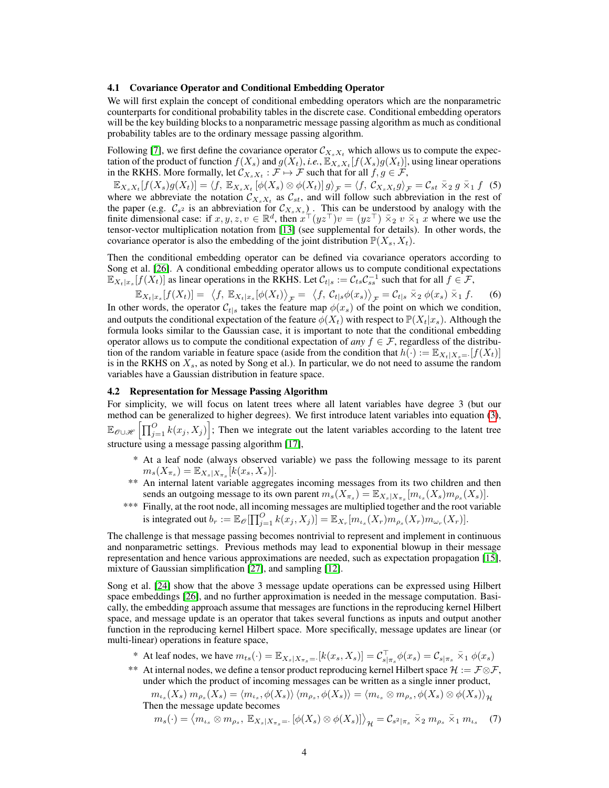#### 4.1 Covariance Operator and Conditional Embedding Operator

We will first explain the concept of conditional embedding operators which are the nonparametric counterparts for conditional probability tables in the discrete case. Conditional embedding operators will be the key building blocks to a nonparametric message passing algorithm as much as conditional probability tables are to the ordinary message passing algorithm.

Following [\[7\]](#page-8-19), we first define the covariance operator  $\mathcal{C}_{X_s X_t}$  which allows us to compute the expectation of the product of function  $f(X_s)$  and  $g(X_t)$ , *i.e.*,  $\mathbb{E}_{X_s X_t}[f(X_s)g(X_t)]$ , using linear operations in the RKHS. More formally, let  $\mathcal{C}_{X_s X_t} : \mathcal{F} \mapsto \mathcal{F}$  such that for all  $f, g \in \mathcal{F}$ ,

 $\mathbb{E}_{X_s X_t}[f(X_s)g(X_t)] = \langle f, \mathbb{E}_{X_s X_t}[\phi(X_s) \otimes \phi(X_t)]g \rangle_{\mathcal{F}} = \langle f, \mathcal{C}_{X_s X_t}g \rangle_{\mathcal{F}} = \mathcal{C}_{st} \bar{\times}_2 g \bar{\times}_1 f$  (5) where we abbreviate the notation  $\mathcal{C}_{X_s X_t}$  as  $\mathcal{C}_{st}$ , and will follow such abbreviation in the rest of the paper (e.g.  $C_{s^2}$  is an abbreviation for  $C_{X_s X_s}$ ). This can be understood by analogy with the finite dimensional case: if  $x, y, z, v \in \mathbb{R}^d$ , then  $x^{\top}(yz^{\top})v = (yz^{\top}) \overline{\times}_2 v \overline{\times}_1 x$  where we use the tensor-vector multiplication notation from [\[13\]](#page-8-20) (see supplemental for details). In other words, the covariance operator is also the embedding of the joint distribution  $\mathbb{P}(X_s, X_t)$ .

Then the conditional embedding operator can be defined via covariance operators according to Song et al. [\[26\]](#page-8-21). A conditional embedding operator allows us to compute conditional expectations  $\mathbb{E}_{X_t|x_s}[f(X_t)]$  as linear operations in the RKHS. Let  $\mathcal{C}_{t|s} := \mathcal{C}_{ts}\mathcal{C}_{ss}^{-1}$  such that for all  $f \in \mathcal{F}$ ,

<span id="page-3-0"></span>
$$
\mathbb{E}_{X_t|x_s}[f(X_t)] = \langle f, \mathbb{E}_{X_t|x_s}[\phi(X_t) \rangle_{\mathcal{F}} = \langle f, \mathcal{C}_{t|s} \phi(x_s) \rangle_{\mathcal{F}} = \mathcal{C}_{t|s} \bar{\times}_2 \phi(x_s) \bar{\times}_1 f. \quad (6)
$$

 $\mathbb{E}_{X_t|x_s|}[\mathcal{F}_{X_t|T_s} - \mathcal{F}_{X_t|x_s|}(\mathcal{F}_{X_t|T_s} - \mathcal{F}_{X_t|X_s}(\mathcal{F}_{X_t|T_s} - \mathcal{F}_{X_t|X_s}(\mathcal{F}_{X_t|T_s} - \mathcal{F}_{X_t|X_s}(\mathcal{F}_{X_t|T_s} - \mathcal{F}_{X_t|X_s}(\mathcal{F}_{X_t|T_s} - \mathcal{F}_{X_t|X_s}(\mathcal{F}_{X_t|T_s} - \mathcal{F}_{X_t|X_s}(\mathcal{F}_{X_t|T_s} - \mathcal{F}_{X_t|X_s}(\mathcal{F}_{X_t$ and outputs the conditional expectation of the feature  $\phi(X_t)$  with respect to  $\mathbb{P}(X_t|x_s)$ . Although the formula looks similar to the Gaussian case, it is important to note that the conditional embedding operator allows us to compute the conditional expectation of *any*  $f \in \mathcal{F}$ , regardless of the distribution of the random variable in feature space (aside from the condition that  $h(\cdot) := \mathbb{E}_{X_t|X_s} = [f(X_t)]$ is in the RKHS on  $X_s$ , as noted by Song et al.). In particular, we do not need to assume the random variables have a Gaussian distribution in feature space.

#### 4.2 Representation for Message Passing Algorithm

For simplicity, we will focus on latent trees where all latent variables have degree 3 (but our method can be generalized to higher degrees). We first introduce latent variables into equation [\(3\)](#page-2-1),  $\mathbb{E}_{\theta \cup \mathscr{H}}\left[\prod_{j=1}^O k(x_j, X_j)\right]$ ; Then we integrate out the latent variables according to the latent tree structure using a message passing algorithm [\[17\]](#page-8-22),

- \* At a leaf node (always observed variable) we pass the following message to its parent  $m_s(X_{\pi_s}) = \mathbb{E}_{X_s|X_{\pi_s}}[k(x_s, X_s)].$
- \*\* An internal latent variable aggregates incoming messages from its two children and then sends an outgoing message to its own parent  $m_s(X_{\pi_s}) = \mathbb{E}_{X_s|X_{\pi_s}}[m_{\iota_s}(X_s)m_{\rho_s}(X_s)]$ .
- \*\*\* Finally, at the root node, all incoming messages are multiplied together and the root variable is integrated out  $b_r := \mathbb{E}_{\mathcal{O}}[\prod_{j=1}^O k(x_j, X_j)] = \mathbb{E}_{X_r}[m_{\iota_s}(X_r)m_{\rho_s}(X_r)m_{\omega_r}(X_r)].$

The challenge is that message passing becomes nontrivial to represent and implement in continuous and nonparametric settings. Previous methods may lead to exponential blowup in their message representation and hence various approximations are needed, such as expectation propagation [\[15\]](#page-8-16), mixture of Gaussian simplification [\[27\]](#page-8-17), and sampling [\[12\]](#page-8-18).

Song et al. [\[24\]](#page-8-23) show that the above 3 message update operations can be expressed using Hilbert space embeddings [\[26\]](#page-8-21), and no further approximation is needed in the message computation. Basically, the embedding approach assume that messages are functions in the reproducing kernel Hilbert space, and message update is an operator that takes several functions as inputs and output another function in the reproducing kernel Hilbert space. More specifically, message updates are linear (or multi-linear) operations in feature space,

\* At leaf nodes, we have  $m_{ts}(\cdot) = \mathbb{E}_{X_s|X_{\pi_s}=\cdot}[k(x_s, X_s)] = \mathcal{C}_{s|\pi_s}^{\top} \phi(x_s) = \mathcal{C}_{s|\pi_s} \bar{\times}_1 \phi(x_s)$ 

\*\* At internal nodes, we define a tensor product reproducing kernel Hilbert space  $\mathcal{H} := \mathcal{F} \otimes \mathcal{F}$ , under which the product of incoming messages can be written as a single inner product,

$$
m_{\iota_s}(X_s) \, m_{\rho_s}(X_s) = \langle m_{\iota_s}, \phi(X_s) \rangle \, \langle m_{\rho_s}, \phi(X_s) \rangle = \langle m_{\iota_s} \otimes m_{\rho_s}, \phi(X_s) \otimes \phi(X_s) \rangle_{\mathcal{H}}
$$
  
Then the message update becomes

<span id="page-3-1"></span>
$$
m_s(\cdot) = \langle m_{\iota_s} \otimes m_{\rho_s}, \ \mathbb{E}_{X_s | X_{\pi_s} = \cdot} \left[ \phi(X_s) \otimes \phi(X_s) \right] \rangle_{\mathcal{H}} = \mathcal{C}_{s^2 | \pi_s} \ \bar{\times}_2 \ m_{\rho_s} \ \bar{\times}_1 \ m_{\iota_s} \tag{7}
$$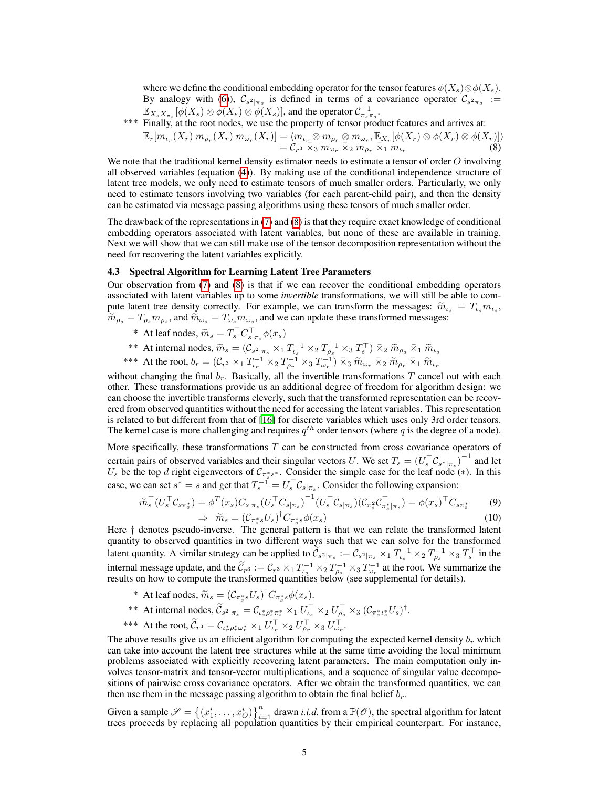where we define the conditional embedding operator for the tensor features  $\phi(X_s) \otimes \phi(X_s)$ . By analogy with [\(6\)](#page-3-0)),  $C_{s^2|\pi_s}$  is defined in terms of a covariance operator  $C_{s^2\pi_s}$  :=  $\mathbb{E}_{X_s X_{\pi_s}}[\phi(X_s) \otimes \phi(X_s) \otimes \phi(X_s)]$ , and the operator  $\mathcal{C}_{\pi_s \pi_s}^{-1}$ .

\*\*\* Finally, at the root nodes, we use the property of tensor product features and arrives at:

<span id="page-4-0"></span>
$$
\mathbb{E}_r[m_{\iota_r}(X_r) \, m_{\rho_r}(X_r) \, m_{\omega_r}(X_r)] = \langle m_{\iota_r} \otimes m_{\rho_r} \otimes m_{\omega_r}, \mathbb{E}_{X_r}[\phi(X_r) \otimes \phi(X_r) \otimes \phi(X_r)] \rangle = C_{r^3} \bar{\times}_3 m_{\omega_r} \bar{\times}_2 m_{\rho_r} \bar{\times}_1 m_{\iota_r}
$$
 (8)

We note that the traditional kernel density estimator needs to estimate a tensor of order O involving all observed variables (equation [\(4\)](#page-2-2)). By making use of the conditional independence structure of latent tree models, we only need to estimate tensors of much smaller orders. Particularly, we only need to estimate tensors involving two variables (for each parent-child pair), and then the density can be estimated via message passing algorithms using these tensors of much smaller order.

The drawback of the representations in [\(7\)](#page-3-1) and [\(8\)](#page-4-0) is that they require exact knowledge of conditional embedding operators associated with latent variables, but none of these are available in training. Next we will show that we can still make use of the tensor decomposition representation without the need for recovering the latent variables explicitly.

#### 4.3 Spectral Algorithm for Learning Latent Tree Parameters

Our observation from [\(7\)](#page-3-1) and [\(8\)](#page-4-0) is that if we can recover the conditional embedding operators associated with latent variables up to some *invertible* transformations, we will still be able to compute latent tree density correctly. For example, we can transform the messages:  $\tilde{m}_{\iota_s} = T_{\iota_s} m_{\iota_s}$ ,  $\tilde{m}_{\iota_s} = T_{\iota_s} m_{\iota_s}$  and  $\tilde{m}_{\iota_s} = T_{\iota_s} m_{\iota_s}$  and we can undate these transformed messages:  $\widetilde{m}_{\rho_s} = T_{\rho_s} m_{\rho_s}$ , and  $\widetilde{m}_{\omega_s} = T_{\omega_s} m_{\omega_s}$ , and we can update these transformed messages:

- \* At leaf nodes,  $\widetilde{m}_s = T_s^\top C_{s|\pi_s}^\top \phi(x_s)$
- 
- \*\* At internal nodes,  $\widetilde{m}_s = (\mathcal{C}_{s^2|\pi_s} \times_1 T_{\iota_s}^{-1} \times_2 T_{\rho_s}^{-1} \times_3 T_s^{\top}) \overline{\times}_2 \widetilde{m}_{\rho_s} \overline{\times}_1 \widetilde{m}_{\iota_s}$ <br>\*\*\* At the root,  $b_r = (\mathcal{C}_{r^3} \times_1 T_{\iota_r}^{-1} \times_2 T_{\rho_r}^{-1} \times_3 T_{\omega_r}^{-1}) \overline{\times}_3 \widetilde{m}_{\omega_r} \overline{\times}_2 \widetilde$

without changing the final  $b_r$ . Basically, all the invertible transformations T cancel out with each other. These transformations provide us an additional degree of freedom for algorithm design: we can choose the invertible transforms cleverly, such that the transformed representation can be recovered from observed quantities without the need for accessing the latent variables. This representation is related to but different from that of [\[16\]](#page-8-14) for discrete variables which uses only 3rd order tensors. The kernel case is more challenging and requires  $q^{th}$  order tensors (where q is the degree of a node).

More specifically, these transformations  $T$  can be constructed from cross covariance operators of certain pairs of observed variables and their singular vectors U. We set  $T_s = (U_s^\top \mathcal{C}_{s^*|\pi_s})^{-1}$  and let U<sub>s</sub> be the top d right eigenvectors of  $C_{\pi_s^*s^*}$ . Consider the simple case for the leaf node (\*). In this case, we can set  $s^* = s$  and get that  $T_s^{-1} = U_s^{\top} C_{s|\pi_s}$ . Consider the following expansion:

$$
\widetilde{m}_s^\top (U_s^\top \mathcal{C}_{s\pi_s^*}) = \phi^T(x_s) C_{s|\pi_s} (U_s^\top C_{s|\pi_s})^{-1} (U_s^\top \mathcal{C}_{s|\pi_s}) (\mathcal{C}_{\pi_s^2} \mathcal{C}_{\pi_s^*|\pi_s}^\top) = \phi(x_s)^\top C_{s\pi_s^*}
$$
\n
$$
(9)
$$

$$
\widetilde{m}_s = \left(\mathcal{C}_{\pi_s^*s} U_s\right)^\dagger C_{\pi_s^*s} \phi(x_s) \tag{10}
$$

 $\Rightarrow \widetilde{m}_s = (C_{\pi_s^* s} U_s)^{\dagger} C_{\pi_s^* s} \phi(x_s)$  (10)<br>Here † denotes pseudo-inverse. The general pattern is that we can relate the transformed latent quantity to observed quantities in two different ways such that we can solve for the transformed latent quantity. A similar strategy can be applied to  $\tilde{C}_{s^2|\pi_s} := C_{s^2|\pi_s} \times_1 T_{\iota_s}^{-1} \times_2 T_{\rho_s}^{-1} \times_3 T_s^{\top}$  in the internal message update, and the  $\tilde{\mathcal{C}}_{r^3} := \mathcal{C}_{r^3} \times_1 T_{\alpha}^{-1} \times_2 T_{\beta}^{-1} \times_3 T_{\omega_r}^{-1}$  at the root. We summarize the results on how to compute the transformed quantities below (see supplemental for details).

- \* At leaf nodes,  $\widetilde{m}_s = (C_{\pi_s^* s} U_s)^{\dagger} C_{\pi_s^* s} \phi(x_s)$ .
- \*\* At internal nodes,  $\widetilde{\mathcal{C}}_{s^2|\pi_s} = \mathcal{C}_{\iota_s^* \rho_s^* \pi_s^*} \times_1 U_{\iota_s}^\top \times_2 U_{\rho_s}^\top \times_3 (\mathcal{C}_{\pi_s^* \iota_s^*} U_s)^\dagger$ .
- \*\*\* At the root,  $\widetilde{\mathcal{C}}_{r^3} = \mathcal{C}_{\iota_r^* \rho_r^* \omega_r^*} \times_1 U_{\iota_r}^\top \times_2 U_{\rho_r}^\top \times_3 U_{\omega_r}^\top$ .

The above results give us an efficient algorithm for computing the expected kernel density  $b_r$  which can take into account the latent tree structures while at the same time avoiding the local minimum problems associated with explicitly recovering latent parameters. The main computation only involves tensor-matrix and tensor-vector multiplications, and a sequence of singular value decompositions of pairwise cross covariance operators. After we obtain the transformed quantities, we can then use them in the message passing algorithm to obtain the final belief  $b_r$ .

Given a sample  $\mathcal{S} = \{(x_1^i, \dots, x_O^i)\}_{i=1}^n$  drawn *i.i.d.* from a  $\mathbb{P}(\mathcal{O})$ , the spectral algorithm for latent trees proceeds by replacing all population quantities by their empirical counterpart. For instance,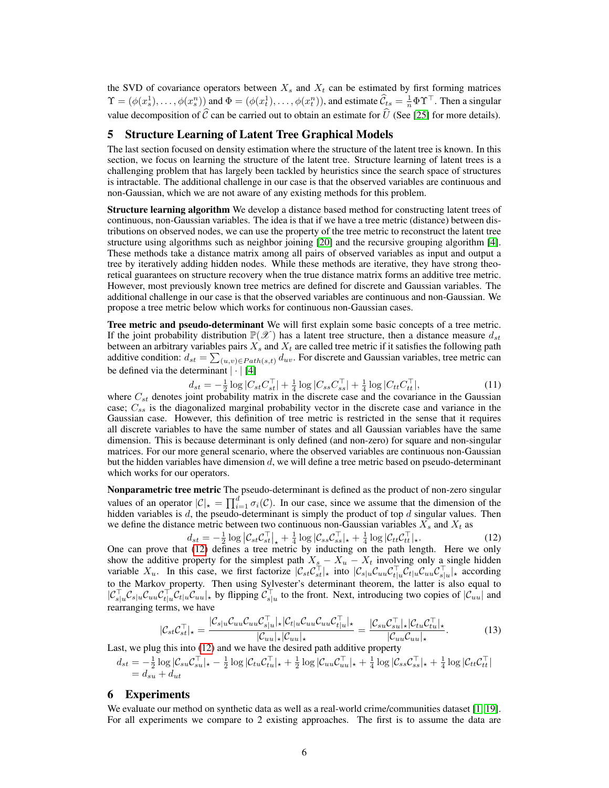the SVD of covariance operators between  $X_s$  and  $X_t$  can be estimated by first forming matrices  $\Upsilon = (\phi(x_s^1), \dots, \phi(x_s^n))$  and  $\Phi = (\phi(x_t^1), \dots, \phi(x_t^n))$ , and estimate  $\hat{C}_{ts} = \frac{1}{n} \Phi \Upsilon^\top$ . Then a singular value decomposition of  $\hat{C}$  can be carried out to obtain an estimate for  $\hat{U}$  (See [\[25\]](#page-8-13) for more details).

# 5 Structure Learning of Latent Tree Graphical Models

The last section focused on density estimation where the structure of the latent tree is known. In this section, we focus on learning the structure of the latent tree. Structure learning of latent trees is a challenging problem that has largely been tackled by heuristics since the search space of structures is intractable. The additional challenge in our case is that the observed variables are continuous and non-Gaussian, which we are not aware of any existing methods for this problem.

**Structure learning algorithm** We develop a distance based method for constructing latent trees of continuous, non-Gaussian variables. The idea is that if we have a tree metric (distance) between distributions on observed nodes, we can use the property of the tree metric to reconstruct the latent tree structure using algorithms such as neighbor joining [\[20\]](#page-8-10) and the recursive grouping algorithm [\[4\]](#page-8-11). These methods take a distance matrix among all pairs of observed variables as input and output a tree by iteratively adding hidden nodes. While these methods are iterative, they have strong theoretical guarantees on structure recovery when the true distance matrix forms an additive tree metric. However, most previously known tree metrics are defined for discrete and Gaussian variables. The additional challenge in our case is that the observed variables are continuous and non-Gaussian. We propose a tree metric below which works for continuous non-Gaussian cases.

Tree metric and pseudo-determinant We will first explain some basic concepts of a tree metric. If the joint probability distribution  $\mathbb{P}(\mathscr{X})$  has a latent tree structure, then a distance measure  $d_{st}$ between an arbitrary variables pairs  $X_s$  and  $X_t$  are called tree metric if it satisfies the following path additive condition:  $d_{st} = \sum_{(u,v) \in Path(s,t)} d_{uv}$ . For discrete and Gaussian variables, tree metric can be defined via the determinant  $|\cdot|$  [\[4\]](#page-8-11)

$$
d_{st} = -\frac{1}{2}\log|C_{st}C_{st}^{\top}| + \frac{1}{4}\log|C_{ss}C_{ss}^{\top}| + \frac{1}{4}\log|C_{tt}C_{tt}^{\top}|,\tag{11}
$$

where  $C_{st}$  denotes joint probability matrix in the discrete case and the covariance in the Gaussian case;  $C_{ss}$  is the diagonalized marginal probability vector in the discrete case and variance in the Gaussian case. However, this definition of tree metric is restricted in the sense that it requires all discrete variables to have the same number of states and all Gaussian variables have the same dimension. This is because determinant is only defined (and non-zero) for square and non-singular matrices. For our more general scenario, where the observed variables are continuous non-Gaussian but the hidden variables have dimension d, we will define a tree metric based on pseudo-determinant which works for our operators.

Nonparametric tree metric The pseudo-determinant is defined as the product of non-zero singular values of an operator  $|\mathcal{C}|_{\star} = \prod_{i=1}^d \sigma_i(\mathcal{C})$ . In our case, since we assume that the dimension of the hidden variables is  $d$ , the pseudo-determinant is simply the product of top  $d$  singular values. Then we define the distance metric between two continuous non-Gaussian variables  $X_s$  and  $X_t$  as

<span id="page-5-0"></span>
$$
d_{st} = -\frac{1}{2} \log \left| \mathcal{C}_{st} \mathcal{C}_{st}^{\top} \right|_{\star} + \frac{1}{4} \log \left| \mathcal{C}_{ss} \mathcal{C}_{ss}^{\top} \right|_{\star} + \frac{1}{4} \log \left| \mathcal{C}_{tt} \mathcal{C}_{tt}^{\top} \right|_{\star}.
$$
 (12)

 $d_{st} = -\frac{1}{2} \log |\mathcal{C}_{st} \mathcal{C}_{st}|_{\star} + \frac{1}{4} \log |\mathcal{C}_{ss} \mathcal{C}_{ss}|_{\star} + \frac{1}{4} \log |\mathcal{C}_{tt} \mathcal{C}_{tt}|_{\star}.$  [\(12\)](#page-5-0)<br>One can prove that (12) defines a tree metric by inducting on the path length. Here we only show the additive property for the simplest path  $X_s - X_u - X_t$  involving only a single hidden variable  $X_u$ . In this case, we first factorize  $|\mathcal{C}_{st}\mathcal{C}_{st}^\top|$  into  $|\mathcal{C}_{s|u}\mathcal{C}_{uu}\mathcal{C}_{t|u}^\top\mathcal{C}_{tu} \mathcal{C}_{s|u}^\top|$ , according to the Markov property. Then using Sylvester's determinant theorem, the latter is also equal to  $|C_{s|u}^{\top}C_{s|u}C_{uu}C_{t|u}^{\top}C_{t|u}C_{uu}|$ , by flipping  $C_{s|u}^{\top}$  to the front. Next, introducing two copies of  $|C_{uu}|$  and rearranging terms, we have

$$
|\mathcal{C}_{st}\mathcal{C}_{st}^{\top}|_{\star} = \frac{|\mathcal{C}_{s|u}\mathcal{C}_{uu}\mathcal{C}_{uu}\mathcal{C}_{s|u}^{\top}|_{\star}|\mathcal{C}_{t|u}\mathcal{C}_{uu}\mathcal{C}_{uu}\mathcal{C}_{tu}^{\top}|_{\star}|_{\star}}{|\mathcal{C}_{uu}|_{\star}|\mathcal{C}_{uu}|_{\star}} = \frac{|\mathcal{C}_{su}\mathcal{C}_{su}^{\top}|_{\star}|\mathcal{C}_{tu}\mathcal{C}_{tu}^{\top}|_{\star}}{|\mathcal{C}_{uu}\mathcal{C}_{uu}|_{\star}}.
$$
(13)

Last, we plug this into [\(12\)](#page-5-0) and we have the desired path additive property

$$
\begin{array}{l} d_{st} = -\frac{1}{2}\log|\mathcal{C}_{su}\mathcal{C}_{su}^\top|_{\star} - \frac{1}{2}\log|\mathcal{C}_{tu}\mathcal{C}_{tu}^\top|_{\star} + \frac{1}{2}\log|\mathcal{C}_{uu}\mathcal{C}_{uu}^\top|_{\star} + \frac{1}{4}\log|\mathcal{C}_{ss}\mathcal{C}_{ss}^\top|_{\star} + \frac{1}{4}\log|\mathcal{C}_{tt}\mathcal{C}_{tt}^\top| \\ = d_{su} + d_{ut} \end{array}
$$

# 6 Experiments

We evaluate our method on synthetic data as well as a real-world crime/communities dataset [\[1,](#page-8-24) [19\]](#page-8-25). For all experiments we compare to 2 existing approaches. The first is to assume the data are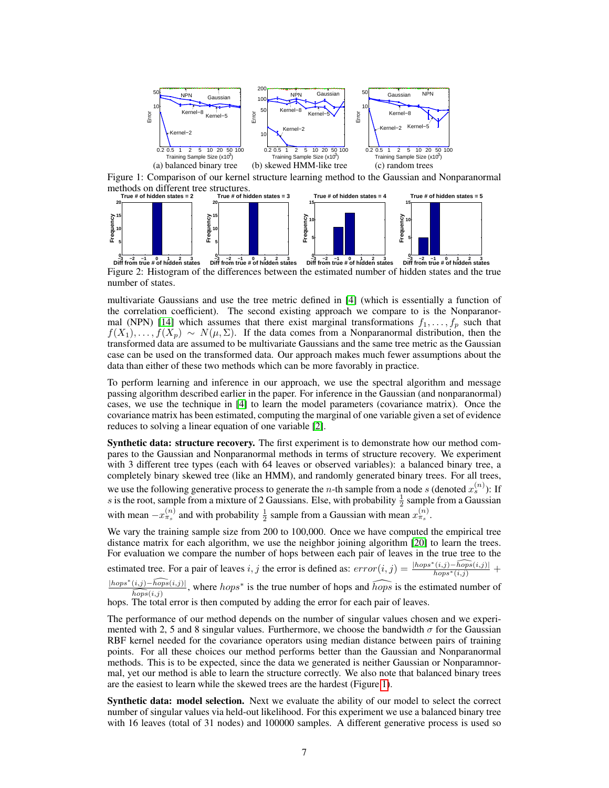

<span id="page-6-0"></span>Figure 1: Comparison of our kernel structure learning method to the Gaussian and Nonparanormal methods on different tree structures.



<span id="page-6-1"></span>Figure 2: Histogram of the differences between the estimated number of hidden states and the true number of states.

multivariate Gaussians and use the tree metric defined in [\[4\]](#page-8-11) (which is essentially a function of the correlation coefficient). The second existing approach we compare to is the Nonparanor-mal (NPN) [\[14\]](#page-8-26) which assumes that there exist marginal transformations  $f_1, \ldots, f_p$  such that  $f(X_1), \ldots, f(X_p) \sim N(\mu, \Sigma)$ . If the data comes from a Nonparanormal distribution, then the transformed data are assumed to be multivariate Gaussians and the same tree metric as the Gaussian case can be used on the transformed data. Our approach makes much fewer assumptions about the data than either of these two methods which can be more favorably in practice.

To perform learning and inference in our approach, we use the spectral algorithm and message passing algorithm described earlier in the paper. For inference in the Gaussian (and nonparanormal) cases, we use the technique in [\[4\]](#page-8-11) to learn the model parameters (covariance matrix). Once the covariance matrix has been estimated, computing the marginal of one variable given a set of evidence reduces to solving a linear equation of one variable [\[2\]](#page-8-27).

Synthetic data: structure recovery. The first experiment is to demonstrate how our method compares to the Gaussian and Nonparanormal methods in terms of structure recovery. We experiment with 3 different tree types (each with 64 leaves or observed variables): a balanced binary tree, a completely binary skewed tree (like an HMM), and randomly generated binary trees. For all trees, we use the following generative process to generate the *n*-th sample from a node *s* (denoted  $x_s^{(n)}$ ): If s is the root, sample from a mixture of 2 Gaussians. Else, with probability  $\frac{1}{2}$  sample from a Gaussian with mean  $-x_{\pi_s}^{(n)}$  and with probability  $\frac{1}{2}$  sample from a Gaussian with mean  $x_{\pi_s}^{(n)}$ .

We vary the training sample size from 200 to 100,000. Once we have computed the empirical tree distance matrix for each algorithm, we use the neighbor joining algorithm [\[20\]](#page-8-10) to learn the trees. For evaluation we compare the number of hops between each pair of leaves in the true tree to the estimated tree. For a pair of leaves i, j the error is defined as:  $error(i, j) = \frac{|hops^*(i,j) - \widehat{hops}(i,j)|}{hops^*(i,j)} +$ 

 $\sqrt{\frac{hops^*(i,j)-hops(i,j)}{hops^*(i,j)}}$ , where  $hops^*$  is the true number of hops and  $\widehat{hops}$  is the estimated number of  $\widehat{hops}(i,j)$ hops. The total error is then computed by adding the error for each pair of leaves.

The performance of our method depends on the number of singular values chosen and we experimented with 2, 5 and 8 singular values. Furthermore, we choose the bandwidth  $\sigma$  for the Gaussian RBF kernel needed for the covariance operators using median distance between pairs of training points. For all these choices our method performs better than the Gaussian and Nonparanormal methods. This is to be expected, since the data we generated is neither Gaussian or Nonparamnormal, yet our method is able to learn the structure correctly. We also note that balanced binary trees are the easiest to learn while the skewed trees are the hardest (Figure [1\)](#page-6-0).

Synthetic data: model selection. Next we evaluate the ability of our model to select the correct number of singular values via held-out likelihood. For this experiment we use a balanced binary tree with 16 leaves (total of 31 nodes) and 100000 samples. A different generative process is used so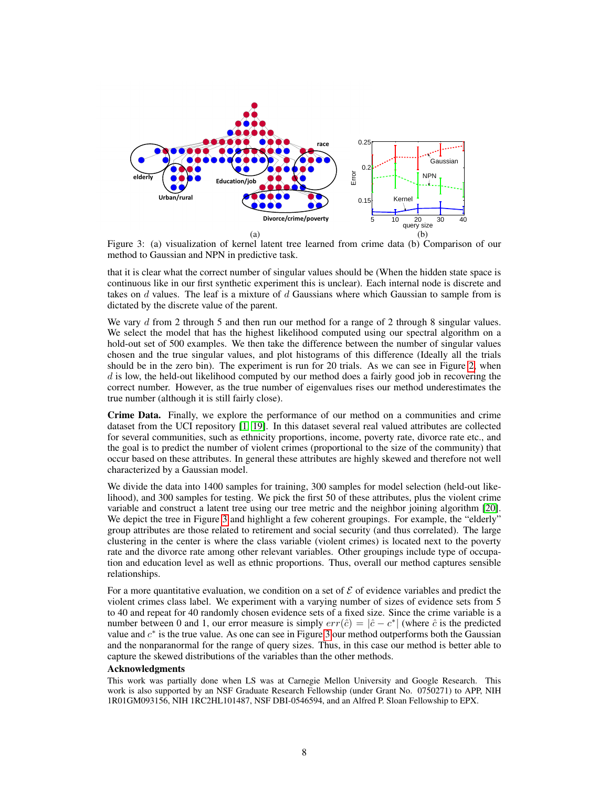

<span id="page-7-0"></span>Figure 3: (a) visualization of kernel latent tree learned from crime data (b) Comparison of our method to Gaussian and NPN in predictive task.

that it is clear what the correct number of singular values should be (When the hidden state space is continuous like in our first synthetic experiment this is unclear). Each internal node is discrete and takes on  $d$  values. The leaf is a mixture of  $d$  Gaussians where which Gaussian to sample from is dictated by the discrete value of the parent.

We vary d from 2 through 5 and then run our method for a range of 2 through 8 singular values. We select the model that has the highest likelihood computed using our spectral algorithm on a hold-out set of 500 examples. We then take the difference between the number of singular values chosen and the true singular values, and plot histograms of this difference (Ideally all the trials should be in the zero bin). The experiment is run for 20 trials. As we can see in Figure [2,](#page-6-1) when  $d$  is low, the held-out likelihood computed by our method does a fairly good job in recovering the correct number. However, as the true number of eigenvalues rises our method underestimates the true number (although it is still fairly close).

Crime Data. Finally, we explore the performance of our method on a communities and crime dataset from the UCI repository [\[1,](#page-8-24) [19\]](#page-8-25). In this dataset several real valued attributes are collected for several communities, such as ethnicity proportions, income, poverty rate, divorce rate etc., and the goal is to predict the number of violent crimes (proportional to the size of the community) that occur based on these attributes. In general these attributes are highly skewed and therefore not well characterized by a Gaussian model.

We divide the data into 1400 samples for training, 300 samples for model selection (held-out likelihood), and 300 samples for testing. We pick the first 50 of these attributes, plus the violent crime variable and construct a latent tree using our tree metric and the neighbor joining algorithm [\[20\]](#page-8-10). We depict the tree in Figure [3](#page-7-0) and highlight a few coherent groupings. For example, the "elderly" group attributes are those related to retirement and social security (and thus correlated). The large clustering in the center is where the class variable (violent crimes) is located next to the poverty rate and the divorce rate among other relevant variables. Other groupings include type of occupation and education level as well as ethnic proportions. Thus, overall our method captures sensible relationships.

For a more quantitative evaluation, we condition on a set of  $\mathcal E$  of evidence variables and predict the violent crimes class label. We experiment with a varying number of sizes of evidence sets from 5 to 40 and repeat for 40 randomly chosen evidence sets of a fixed size. Since the crime variable is a number between 0 and 1, our error measure is simply  $err(\hat{c}) = |\hat{c} - c^*|$  (where  $\hat{c}$  is the predicted value and  $c^*$  is the true value. As one can see in Figure [3](#page-7-0) our method outperforms both the Gaussian and the nonparanormal for the range of query sizes. Thus, in this case our method is better able to capture the skewed distributions of the variables than the other methods.

#### Acknowledgments

This work was partially done when LS was at Carnegie Mellon University and Google Research. This work is also supported by an NSF Graduate Research Fellowship (under Grant No. 0750271) to APP, NIH 1R01GM093156, NIH 1RC2HL101487, NSF DBI-0546594, and an Alfred P. Sloan Fellowship to EPX.